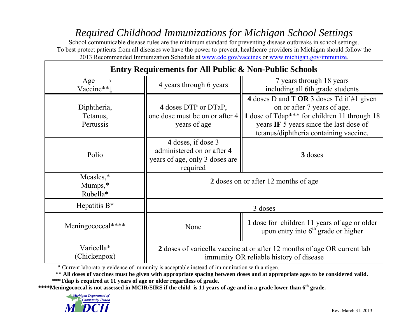## *Required Childhood Immunizations for Michigan School Settings*

School communicable disease rules are the minimum standard for preventing disease outbreaks in school settings. To best protect patients from all diseases we have the power to prevent, healthcare providers in Michigan should follow the 2013 Recommended Immunization Schedule at www.cdc.gov/vaccines or www.michigan.gov/immunize.

| <b>Entry Requirements for All Public &amp; Non-Public Schools</b> |                                                                                                |                                                                                                                                                                                                               |  |  |  |  |  |  |  |
|-------------------------------------------------------------------|------------------------------------------------------------------------------------------------|---------------------------------------------------------------------------------------------------------------------------------------------------------------------------------------------------------------|--|--|--|--|--|--|--|
| Age<br>$\rightarrow$<br>Vaccine**1                                | 4 years through 6 years                                                                        | 7 years through 18 years<br>including all 6th grade students                                                                                                                                                  |  |  |  |  |  |  |  |
| Diphtheria,<br>Tetanus,<br>Pertussis                              | 4 doses DTP or DTaP,<br>one dose must be on or after 4<br>years of age                         | 4 doses D and T OR 3 doses Td if #1 given<br>on or after 7 years of age.<br>1 dose of Tdap*** for children 11 through 18<br>years IF 5 years since the last dose of<br>tetanus/diphtheria containing vaccine. |  |  |  |  |  |  |  |
| Polio                                                             | 4 doses, if dose 3<br>administered on or after 4<br>years of age, only 3 doses are<br>required | 3 doses                                                                                                                                                                                                       |  |  |  |  |  |  |  |
| Measles,*<br>$Mumps, *$<br>Rubella*                               |                                                                                                | 2 doses on or after 12 months of age                                                                                                                                                                          |  |  |  |  |  |  |  |
| Hepatitis $B^*$                                                   |                                                                                                | 3 doses                                                                                                                                                                                                       |  |  |  |  |  |  |  |
| Meningococcal****                                                 | None                                                                                           | 1 dose for children 11 years of age or older<br>upon entry into $6th$ grade or higher                                                                                                                         |  |  |  |  |  |  |  |
| Varicella*<br>(Chickenpox)                                        |                                                                                                | 2 doses of varicella vaccine at or after 12 months of age OR current lab<br>immunity OR reliable history of disease                                                                                           |  |  |  |  |  |  |  |

\* Current laboratory evidence of immunity is acceptable instead of immunization with antigen.

\*\* **All doses of vaccines must be given with appropriate spacing between doses and at appropriate ages to be considered valid. \*\*\*Tdap is required at 11 years of age or older regardless of grade.** 

**\*\*\*\*Meningococcal is not assessed in MCIR/SIRS if the child is 11 years of age and in a grade lower than 6th grade.**